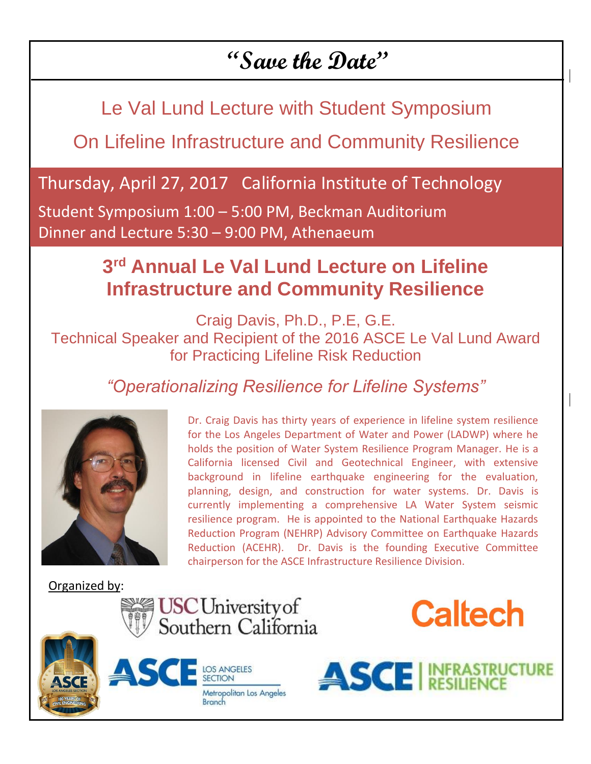## **"Save the Date"**

Le Val Lund Lecture with Student Symposium

On Lifeline Infrastructure and Community Resilience

### Thursday, April 27, 2017 California Institute of Technology

Student Symposium 1:00 – 5:00 PM, Beckman Auditorium Dinner and Lecture 5:30 – 9:00 PM, Athenaeum

### **3 rd Annual Le Val Lund Lecture on Lifeline Infrastructure and Community Resilience**

Craig Davis, Ph.D., P.E, G.E. Technical Speaker and Recipient of the 2016 ASCE Le Val Lund Award for Practicing Lifeline Risk Reduction

*"Operationalizing Resilience for Lifeline Systems"*



l

Dr. Craig Davis has thirty years of experience in lifeline system resilience for the Los Angeles Department of Water and Power (LADWP) where he holds the position of Water System Resilience Program Manager. He is a California licensed Civil and Geotechnical Engineer, with extensive background in lifeline earthquake engineering for the evaluation, planning, design, and construction for water systems. Dr. Davis is currently implementing a comprehensive LA Water System seismic resilience program. He is appointed to the National Earthquake Hazards Reduction Program (NEHRP) Advisory Committee on Earthquake Hazards Reduction (ACEHR). Dr. Davis is the founding Executive Committee chairperson for the ASCE Infrastructure Resilience Division.

Organized by:









**Caltech**